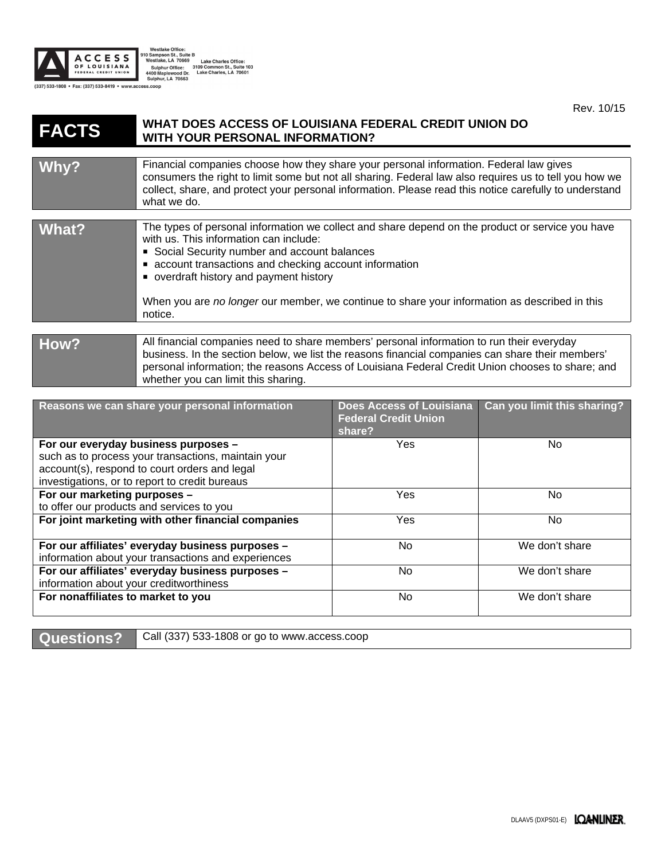

Westlake Office:<br>10 Sampon St., Suite B<br>Westlake, LA 70669<br>Sulphur Office: 3109 Common St., Suite 103<br>4400 Maplewood Dr. Lake Charles, LA 70601<br>Sulphur, LA 70663

Rev. 10/15

## **FACTS WHAT DOES ACCESS OF LOUISIANA FEDERAL CREDIT UNION DO WITH YOUR PERSONAL INFORMATION?**

| Why?           | Financial companies choose how they share your personal information. Federal law gives<br>consumers the right to limit some but not all sharing. Federal law also requires us to tell you how we<br>collect, share, and protect your personal information. Please read this notice carefully to understand<br>what we do.                                                                                   |
|----------------|-------------------------------------------------------------------------------------------------------------------------------------------------------------------------------------------------------------------------------------------------------------------------------------------------------------------------------------------------------------------------------------------------------------|
|                |                                                                                                                                                                                                                                                                                                                                                                                                             |
| What?          | The types of personal information we collect and share depend on the product or service you have<br>with us. This information can include:<br>Social Security number and account balances<br>• account transactions and checking account information<br>• overdraft history and payment history<br>When you are no longer our member, we continue to share your information as described in this<br>notice. |
| $\blacksquare$ | All financial companies need to obere members' personal information to run their eventday                                                                                                                                                                                                                                                                                                                   |
|                |                                                                                                                                                                                                                                                                                                                                                                                                             |

## **How?** All financial companies need to share members' personal information to run their everyday business. In the section below, we list the reasons financial companies can share their members' personal information; the reasons Access of Louisiana Federal Credit Union chooses to share; and whether you can limit this sharing.

| Reasons we can share your personal information      | <b>Does Access of Louisiana</b><br><b>Federal Credit Union</b><br>share? | Can you limit this sharing? |
|-----------------------------------------------------|--------------------------------------------------------------------------|-----------------------------|
| For our everyday business purposes -                | Yes                                                                      | No.                         |
| such as to process your transactions, maintain your |                                                                          |                             |
| account(s), respond to court orders and legal       |                                                                          |                             |
| investigations, or to report to credit bureaus      |                                                                          |                             |
| For our marketing purposes -                        | <b>Yes</b>                                                               | No.                         |
| to offer our products and services to you           |                                                                          |                             |
| For joint marketing with other financial companies  | <b>Yes</b>                                                               | No.                         |
| For our affiliates' everyday business purposes -    | No.                                                                      | We don't share              |
| information about your transactions and experiences |                                                                          |                             |
| For our affiliates' everyday business purposes -    | No                                                                       | We don't share              |
| information about your creditworthiness             |                                                                          |                             |
| For nonaffiliates to market to you                  | No                                                                       | We don't share              |

Questions? | Call (337) 533-1808 or go to www.access.coop